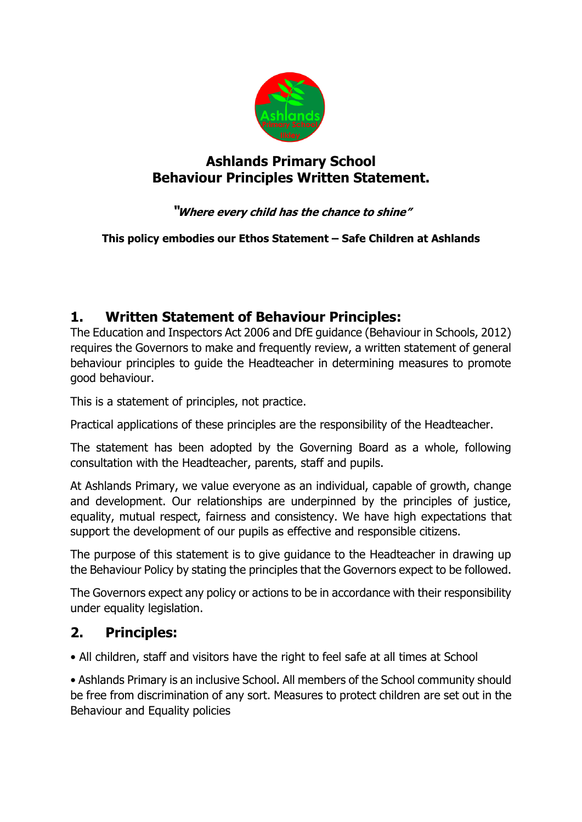

## **Ashlands Primary School Behaviour Principles Written Statement.**

## **"Where every child has the chance to shine"**

**This policy embodies our Ethos Statement – Safe Children at Ashlands**

## **1. Written Statement of Behaviour Principles:**

The Education and Inspectors Act 2006 and DfE guidance (Behaviour in Schools, 2012) requires the Governors to make and frequently review, a written statement of general behaviour principles to guide the Headteacher in determining measures to promote good behaviour.

This is a statement of principles, not practice.

Practical applications of these principles are the responsibility of the Headteacher.

The statement has been adopted by the Governing Board as a whole, following consultation with the Headteacher, parents, staff and pupils.

At Ashlands Primary, we value everyone as an individual, capable of growth, change and development. Our relationships are underpinned by the principles of justice, equality, mutual respect, fairness and consistency. We have high expectations that support the development of our pupils as effective and responsible citizens.

The purpose of this statement is to give guidance to the Headteacher in drawing up the Behaviour Policy by stating the principles that the Governors expect to be followed.

The Governors expect any policy or actions to be in accordance with their responsibility under equality legislation.

## **2. Principles:**

• All children, staff and visitors have the right to feel safe at all times at School

• Ashlands Primary is an inclusive School. All members of the School community should be free from discrimination of any sort. Measures to protect children are set out in the Behaviour and Equality policies